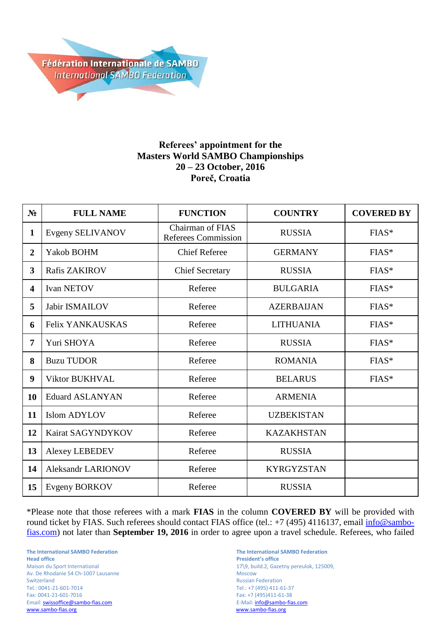

## **Referees' appointment for the Masters World SAMBO Championships 20 – 23 October, 2016 Poreč, Croatia**

| $N_2$          | <b>FULL NAME</b>          | <b>FUNCTION</b>                                | <b>COUNTRY</b>    | <b>COVERED BY</b> |
|----------------|---------------------------|------------------------------------------------|-------------------|-------------------|
| 1              | Evgeny SELIVANOV          | Chairman of FIAS<br><b>Referees Commission</b> | <b>RUSSIA</b>     | $FIAS*$           |
| $\overline{2}$ | Yakob BOHM                | <b>Chief Referee</b>                           | <b>GERMANY</b>    | $FIAS*$           |
| $\overline{3}$ | <b>Rafis ZAKIROV</b>      | <b>Chief Secretary</b>                         | <b>RUSSIA</b>     | $FIAS*$           |
| 4              | <b>Ivan NETOV</b>         | Referee                                        | <b>BULGARIA</b>   | $FIAS*$           |
| 5              | <b>Jabir ISMAILOV</b>     | Referee                                        | <b>AZERBAIJAN</b> | $FIAS*$           |
| 6              | <b>Felix YANKAUSKAS</b>   | Referee                                        | <b>LITHUANIA</b>  | $FIAS*$           |
| 7              | Yuri SHOYA                | Referee                                        | <b>RUSSIA</b>     | $FIAS*$           |
| 8              | <b>Buzu TUDOR</b>         | Referee                                        | <b>ROMANIA</b>    | $FIAS*$           |
| 9              | <b>Viktor BUKHVAL</b>     | Referee                                        | <b>BELARUS</b>    | FIAS*             |
| 10             | <b>Eduard ASLANYAN</b>    | Referee                                        | <b>ARMENIA</b>    |                   |
| 11             | <b>Islom ADYLOV</b>       | Referee                                        | <b>UZBEKISTAN</b> |                   |
| 12             | Kairat SAGYNDYKOV         | Referee                                        | <b>KAZAKHSTAN</b> |                   |
| 13             | <b>Alexey LEBEDEV</b>     | Referee                                        | <b>RUSSIA</b>     |                   |
| 14             | <b>Aleksandr LARIONOV</b> | Referee                                        | <b>KYRGYZSTAN</b> |                   |
| 15             | <b>Evgeny BORKOV</b>      | Referee                                        | <b>RUSSIA</b>     |                   |

\*Please note that those referees with a mark **FIAS** in the column **COVERED BY** will be provided with round ticket by FIAS. Such referees should contact FIAS office (tel.: +7 (495) 4116137, email [info@sambo](mailto:info@sambo-fias.com)[fias.com\)](mailto:info@sambo-fias.com) not later than **September 19, 2016** in order to agree upon a travel schedule. Referees, who failed

**The International SAMBO Federation The International SAMBO Federation Head office President's office** Av. De Rhodanie 54 Ch-1007 Lausanne Moscow Switzerland Russian Federation<br>
Tel.: 0041-21-601-7014 CHE RUSSIAN Tel.: +7 (495) 411-6 Tel.: 0041-21-601-7014 Tel.: +7 (495) 411-61-37 Email: **swissoffice@sambo-fias.com**<br>www.sambo-fias.org

Maison du Sport International 17\9, build.2, Gazetny pereulok, 125009, Fax: +7 (495)411-61-38<br>E-Mail: info@sambo-fias.com www.sambo-fias.org